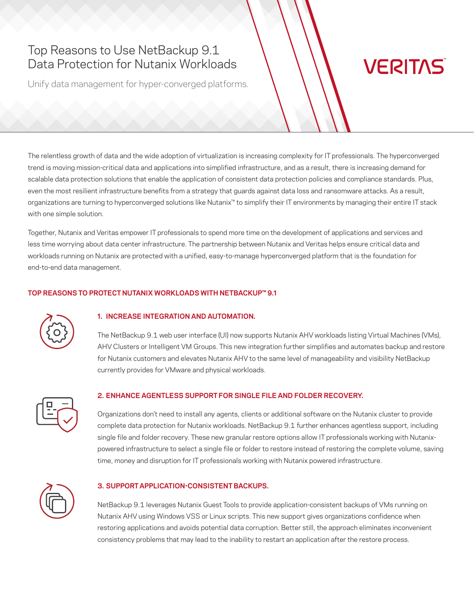# Top Reasons to Use NetBackup 9.1 Data Protection for Nutanix Workloads

Unify data management for hyper-converged platforms.

# **VERITAS**

The relentless growth of data and the wide adoption of virtualization is increasing complexity for IT professionals. The hyperconverged trend is moving mission-critical data and applications into simplified infrastructure, and as a result, there is increasing demand for scalable data protection solutions that enable the application of consistent data protection policies and compliance standards. Plus, even the most resilient infrastructure benefits from a strategy that guards against data loss and ransomware attacks. As a result, organizations are turning to hyperconverged solutions like Nutanix™ to simplify their IT environments by managing their entire IT stack with one simple solution.

Together, Nutanix and Veritas empower IT professionals to spend more time on the development of applications and services and less time worrying about data center infrastructure. The partnership between Nutanix and Veritas helps ensure critical data and workloads running on Nutanix are protected with a unified, easy-to-manage hyperconverged platform that is the foundation for end-to-end data management.

# **TOP REASONS TO PROTECT NUTANIX WORKLOADS WITH NETBACKUP™ 9.1**



## **1. INCREASE INTEGRATION AND AUTOMATION.**

The NetBackup 9.1 web user interface (UI) now supports Nutanix AHV workloads listing Virtual Machines (VMs), AHV Clusters or Intelligent VM Groups. This new integration further simplifies and automates backup and restore for Nutanix customers and elevates Nutanix AHV to the same level of manageability and visibility NetBackup currently provides for VMware and physical workloads.



# **2. ENHANCE AGENTLESS SUPPORT FOR SINGLE FILE AND FOLDER RECOVERY.**

Organizations don't need to install any agents, clients or additional software on the Nutanix cluster to provide complete data protection for Nutanix workloads. NetBackup 9.1 further enhances agentless support, including single file and folder recovery. These new granular restore options allow IT professionals working with Nutanixpowered infrastructure to select a single file or folder to restore instead of restoring the complete volume, saving time, money and disruption for IT professionals working with Nutanix powered infrastructure.



#### **3. SUPPORT APPLICATION-CONSISTENT BACKUPS.**

NetBackup 9.1 leverages Nutanix Guest Tools to provide application-consistent backups of VMs running on Nutanix AHV using Windows VSS or Linux scripts. This new support gives organizations confidence when restoring applications and avoids potential data corruption. Better still, the approach eliminates inconvenient consistency problems that may lead to the inability to restart an application after the restore process.